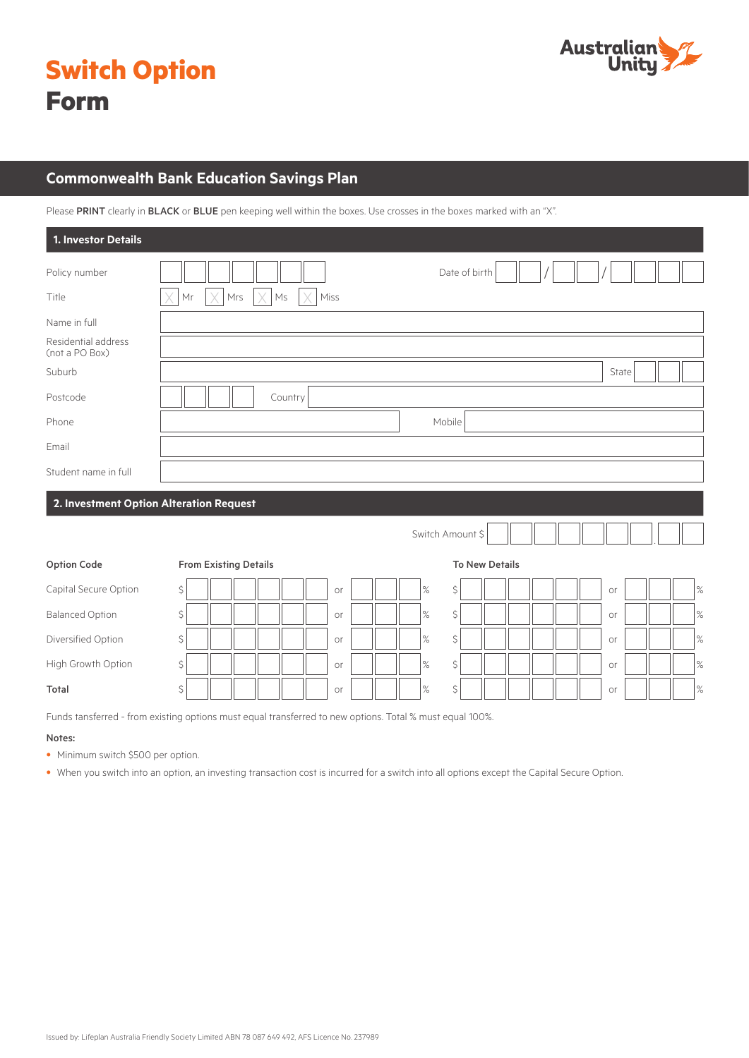



# **Commonwealth Bank Education Savings Plan**

Please PRINT clearly in BLACK or BLUE pen keeping well within the boxes. Use crosses in the boxes marked with an "X".

| 1. Investor Details                   |                                         |      |                       |            |
|---------------------------------------|-----------------------------------------|------|-----------------------|------------|
| Policy number                         |                                         |      | Date of birth         |            |
| Title                                 | Mr<br>Mrs<br>$\mathsf{M}\mathsf{s}$     | Miss |                       |            |
| Name in full                          |                                         |      |                       |            |
| Residential address<br>(not a PO Box) |                                         |      |                       |            |
| Suburb                                |                                         |      |                       | State      |
| Postcode                              | Country                                 |      |                       |            |
| Phone                                 |                                         |      | Mobile                |            |
| Email                                 |                                         |      |                       |            |
| Student name in full                  |                                         |      |                       |            |
|                                       | 2. Investment Option Alteration Request |      |                       |            |
|                                       |                                         |      | Switch Amount \$      |            |
| <b>Option Code</b>                    | <b>From Existing Details</b>            |      | <b>To New Details</b> |            |
| Capital Secure Option                 | \$                                      | or   | $\%$<br>\$            | $\%$<br>or |
| <b>Balanced Option</b>                | \$                                      | or   | \$<br>$\%$            | $\%$<br>or |
| Diversified Option                    | \$                                      | or   | $\%$<br>\$            | $\%$<br>or |
| High Growth Option                    | \$                                      | or   | $\%$<br>\$            | $\%$<br>or |

Total \$ | || || || || || |or || || || ||% \$ || || || || || || || || || || || ||%

Funds tansferred - from existing options must equal transferred to new options. Total % must equal 100%.

#### Notes:

• Minimum switch \$500 per option.

• When you switch into an option, an investing transaction cost is incurred for a switch into all options except the Capital Secure Option.